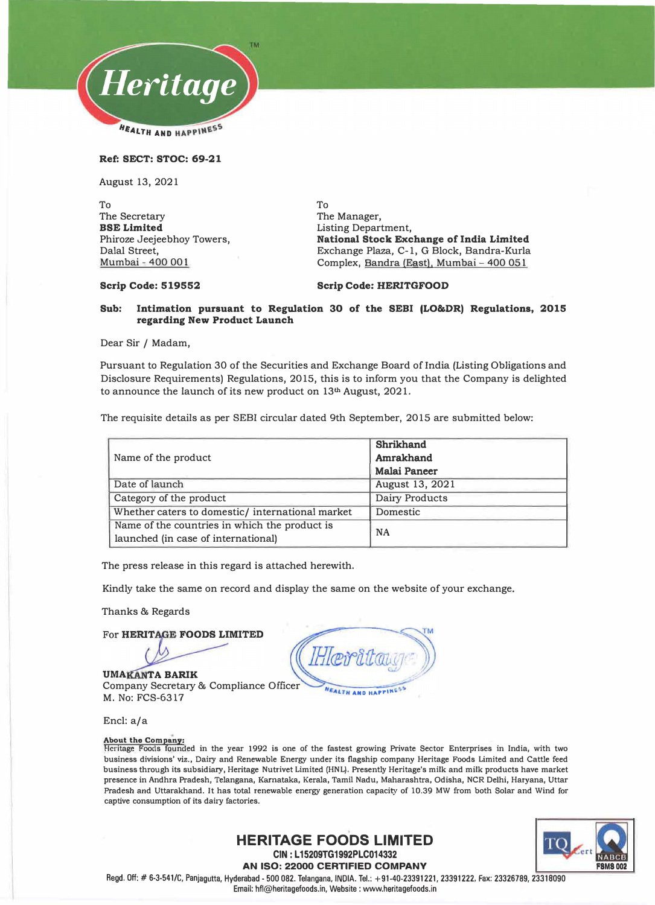

**Ref: SECT: STOC: 69-21** 

August 13, 2021

To The Secretary **BSE Limited**  Phiroze Jeejeebhoy Towers, Dalal Street, Mumbai - 400 001

To The Manager, Listing Department, **National Stock Exchange of India Limited**  Exchange Plaza, C-1, G Block, Bandra-Kurla Complex, Bandra (East), Mumbai - 400 051

#### **Scrip Code: 519552**

### **Scrip Code: HERITGFOOD**

#### **Sub: Intimation pursuant to Regulation 30 of the SEBI (LO&DR) Regulations, 2015 regarding New Product Launch**

Dear Sir / Madam,

Pursuant to Regulation 30 of the Securities and Exchange Board of India (Listing Obligations and Disclosure Requirements) Regulations, 2015, this is to inform you that the Company is delighted to announce the launch of its new product on  $13<sup>th</sup>$  August, 2021.

The requisite details as per SEBI circular dated 9th September, 2015 are submitted below:

| Name of the product                             | Shrikhand<br>Amrakhand |
|-------------------------------------------------|------------------------|
|                                                 | <b>Malai Paneer</b>    |
| Date of launch                                  | August 13, 2021        |
| Category of the product                         | Dairy Products         |
| Whether caters to domestic/international market | Domestic               |
| Name of the countries in which the product is   | <b>NA</b>              |
| launched (in case of international)             |                        |

The press release in this regard is attached herewith.

Kindly take the same on record and display the same on the website of your exchange.

Thanks & Regards

For HERITAGE FOODS LIMITED

**UMAKANTA BARIK** Company Secretary & Compliance Officer M. No: FCS-6317

EALTH AND HAPPING

Encl: a/a

**About the Company: Heritage Foods founded in the year 1992 is one of the fastest growing Private Sector Enterprises in India, with two business divisions' viz., Dairy and Renewable Energy under its flagship company Heritage Foods Limited and Cattle feed business through its subsidiary, Heritage Nutrivet Limited (HNL). Presently Heritage's milk and milk products have market presence in Andhra Pradesh, Telangana, Karnataka, Kerala, Tamil Nadu, Maharashtra, Odisha, NCR Delhi, Haryana, Uttar Pradesh and Uttarakhand. It has total renewable energy generation capacity of 10.39 MW from both Solar and Wind for captive consumption of its dairy factories.** 



**HERITAGE FOODS LIMITED CIN : L 15209TG1992PLC014332** 

**AN ISO: 22000 CERTIFIED COMPANY** 

Regd. Off:# 6-3-541/C, Panjagutta, Hyderabad - 500 082. Telangana, INDIA. Tel.: +91-40-23391221, 23391222, Fax: 23326789, 23318090

Email: hfl@heritagefoods.in, Website : www.heritagefoods.in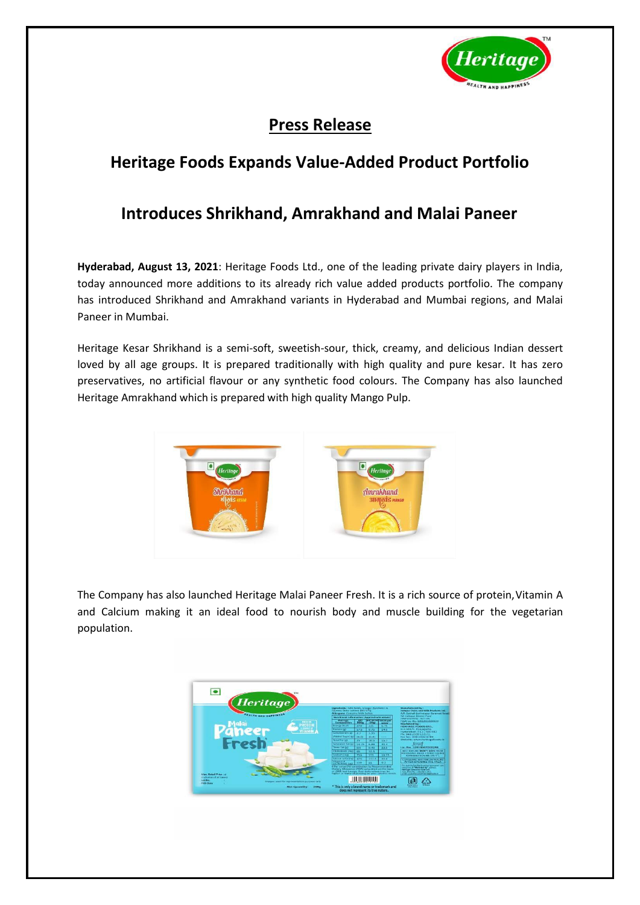

# **Press Release**

# **Heritage Foods Expands Value-Added Product Portfolio**

## **Introduces Shrikhand, Amrakhand and Malai Paneer**

**Hyderabad, August 13, 2021**: Heritage Foods Ltd., one of the leading private dairy players in India, today announced more additions to its already rich value added products portfolio. The company has introduced Shrikhand and Amrakhand variants in Hyderabad and Mumbai regions, and Malai Paneer in Mumbai.

Heritage Kesar Shrikhand is a semi-soft, sweetish-sour, thick, creamy, and delicious Indian dessert loved by all age groups. It is prepared traditionally with high quality and pure kesar. It has zero preservatives, no artificial flavour or any synthetic food colours. The Company has also launched Heritage Amrakhand which is prepared with high quality Mango Pulp.



The Company has also launched Heritage Malai Paneer Fresh. It is a rich source of protein, Vitamin A and Calcium making it an ideal food to nourish body and muscle building for the vegetarian population.